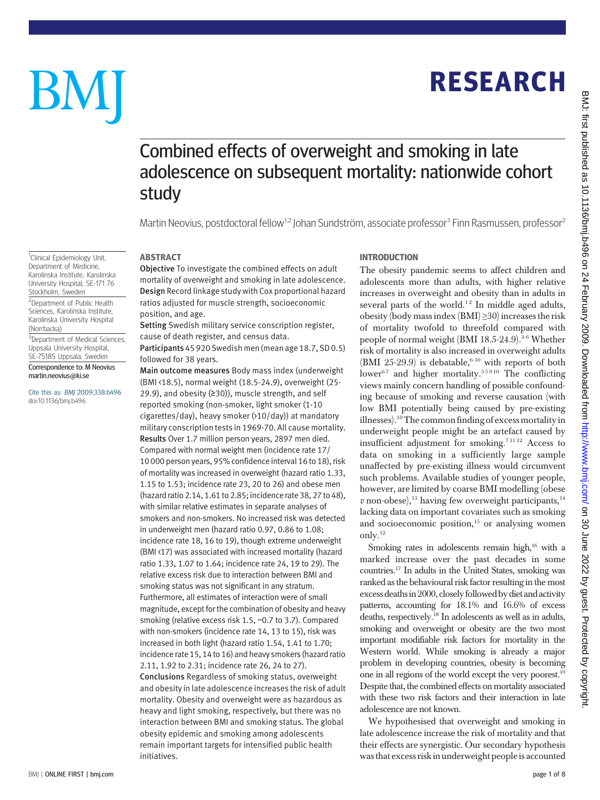# BM

<sup>1</sup>Clinical Epidemiology Unit, Department of Medicine, Karolinska Institute, Karolinska University Hospital, SE-171 76 Stockholm, Sweden <sup>2</sup>Department of Public Health Sciences, Karolinska Institute, Karolinska University Hospital

<sup>3</sup>Department of Medical Sciences, Uppsala University Hospital, SE-75185 Uppsala, Sweden Correspondence to: M Neovius martin.neovius@ki.se

Cite this as: BMJ 2009;338:b496

doi:10.1136/bmj.b496

(Norrbacka)

# **RESEARCH** RESEARCH

# Combined effects of overweight and smoking in late adolescence on subsequent mortality: nationwide cohort study

Martin Neovius, postdoctoral fellow<sup>1,2</sup> Johan Sundström, associate professor<sup>3</sup> Finn Rasmussen, professor<sup>2</sup>

ABSTRACT Objective To investigate the combined effects on adult mortality of overweight and smoking in late adolescence. Design Record linkage study with Cox proportional hazard ratios adjusted for muscle strength, socioeconomic position, and age.

Setting Swedish military service conscription register, cause of death register, and census data. Participants45 920 Swedish men (mean age 18.7, SD 0.5)

followed for 38 years.

Main outcome measures Body mass index (underweight (BMI <18.5), normal weight (18.5-24.9), overweight (25- 29.9), and obesity (≥30)), muscle strength, and self reported smoking (non-smoker, light smoker (1-10 cigarettes/day), heavy smoker (>10/day)) at mandatory military conscription tests in 1969-70. All cause mortality. Results Over 1.7 million person years, 2897 men died. Compared with normal weight men (incidence rate 17/ 10 000 person years, 95% confidence interval 16 to 18), risk of mortality was increased in overweight (hazard ratio 1.33, 1.15 to 1.53; incidence rate 23, 20 to 26) and obese men (hazard ratio 2.14, 1.61 to 2.85; incidence rate 38, 27 to 48), with similar relative estimates in separate analyses of smokers and non-smokers. No increased risk was detected in underweight men (hazard ratio 0.97, 0.86 to 1.08; incidence rate 18, 16 to 19), though extreme underweight (BMI <17) was associated with increased mortality (hazard ratio 1.33, 1.07 to 1.64; incidence rate 24, 19 to 29). The relative excess risk due to interaction between BMI and smoking status was not significant in any stratum. Furthermore, all estimates of interaction were of small magnitude, except for the combination of obesity and heavy smoking (relative excess risk 1.5, −0.7 to 3.7). Compared with non-smokers (incidence rate 14, 13 to 15), risk was increased in both light (hazard ratio 1.54, 1.41 to 1.70; incidence rate 15, 14 to 16) and heavy smokers (hazard ratio 2.11, 1.92 to 2.31; incidence rate 26, 24 to 27). Conclusions Regardless of smoking status, overweight and obesity in late adolescence increases the risk of adult mortality. Obesity and overweight were as hazardous as heavy and light smoking, respectively, but there was no interaction between BMI and smoking status. The global obesity epidemic and smoking among adolescents remain important targets for intensified public health initiatives.

The obesity pandemic seems to affect children and adolescents more than adults, with higher relative increases in overweight and obesity than in adults in several parts of the world.<sup>12</sup> In middle aged adults, obesity (body mass index  $(BMI) \geq 30$ ) increases the risk of mortality twofold to threefold compared with people of normal weight (BMI 18.5-24.9). $3-6$  Whether risk of mortality is also increased in overweight adults (BMI 25-29.9) is debatable,  $6-10$  with reports of both lower<sup>67</sup> and higher mortality.<sup>35910</sup> The conflicting views mainly concern handling of possible confounding because of smoking and reverse causation (with low BMI potentially being caused by pre-existing illnesses).<sup>10</sup>The common finding of excess mortality in underweight people might be an artefact caused by insufficient adjustment for smoking.7 11 12 Access to data on smoking in a sufficiently large sample unaffected by pre-existing illness would circumvent such problems. Available studies of younger people, however, are limited by coarse BMI modelling (obese  $v$  non-obese),<sup>13</sup> having few overweight participants,<sup>14</sup> lacking data on important covariates such as smoking and socioeconomic position, $15$  or analysing women only.<sup>12</sup>

Smoking rates in adolescents remain high, $16$  with a marked increase over the past decades in some countries.17 In adults in the United States, smoking was ranked as the behavioural risk factor resulting in the most excess deathsin 2000, closelyfollowed by diet and activity patterns, accounting for 18.1% and 16.6% of excess deaths, respectively.18 In adolescents as well as in adults, smoking and overweight or obesity are the two most important modifiable risk factors for mortality in the Western world. While smoking is already a major problem in developing countries, obesity is becoming one in all regions of the world except the very poorest.19 Despite that, the combined effects on mortality associated with these two risk factors and their interaction in late adolescence are not known.

We hypothesised that overweight and smoking in late adolescence increase the risk of mortality and that their effects are synergistic. Our secondary hypothesis was that excess risk in underweight people is accounted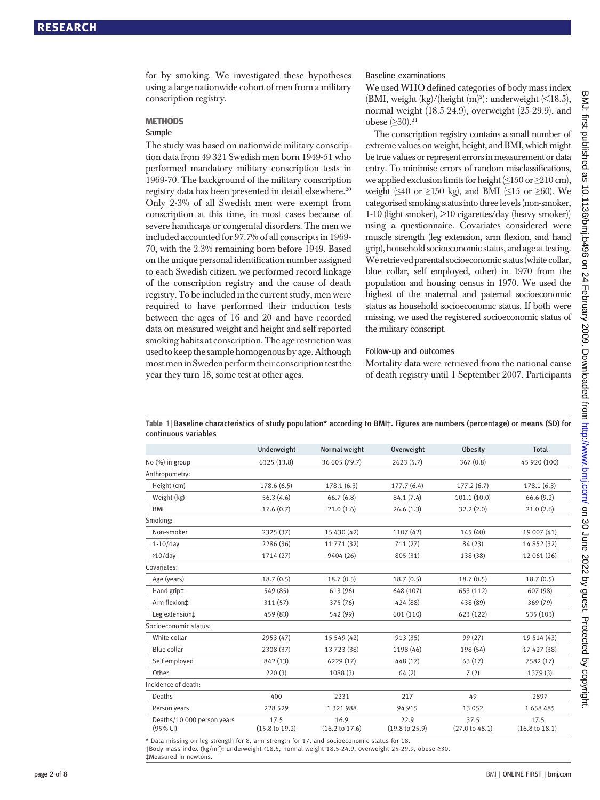for by smoking. We investigated these hypotheses using a large nationwide cohort of men from a military conscription registry.

#### **METHODS**

# Sample

The study was based on nationwide military conscription data from 49 321 Swedish men born 1949-51 who performed mandatory military conscription tests in 1969-70. The background of the military conscription registry data has been presented in detail elsewhere.<sup>20</sup> Only 2-3% of all Swedish men were exempt from conscription at this time, in most cases because of severe handicaps or congenital disorders. The men we included accounted for 97.7% of all conscripts in 1969- 70, with the 2.3% remaining born before 1949. Based on the unique personal identification number assigned to each Swedish citizen, we performed record linkage of the conscription registry and the cause of death registry. To be included in the current study, men were required to have performed their induction tests between the ages of 16 and 20 and have recorded data on measured weight and height and self reported smoking habits at conscription. The age restriction was used to keep the sample homogenous by age. Although most men in Sweden perform their conscription test the year they turn 18, some test at other ages.

#### Baseline examinations

We used WHO defined categories of body mass index (BMI, weight  $\frac{\text{kg}}{\text{height}}$  (m)<sup>2</sup>): underweight  $\left(\text{&}18.5\right)$ , normal weight (18.5-24.9), overweight (25-29.9), and obese (≥30).<sup>21</sup>

The conscription registry contains a small number of extreme values on weight, height, and BMI, which might be true values or represent errors in measurement or data entry. To minimise errors of random misclassifications, we applied exclusion limits for height  $(\leq 150 \text{ or } \geq 210 \text{ cm})$ , weight ( $\leq 40$  or  $\geq 150$  kg), and BMI ( $\leq 15$  or  $\geq 60$ ). We categorised smoking status into three levels(non-smoker, 1-10 (light smoker), >10 cigarettes/day (heavy smoker)) using a questionnaire. Covariates considered were muscle strength (leg extension, arm flexion, and hand grip), household socioeconomic status, and age at testing. We retrieved parental socioeconomic status(white collar, blue collar, self employed, other) in 1970 from the population and housing census in 1970. We used the highest of the maternal and paternal socioeconomic status as household socioeconomic status. If both were missing, we used the registered socioeconomic status of the military conscript.

#### Follow-up and outcomes

Mortality data were retrieved from the national cause of death registry until 1 September 2007. Participants

Table 1 <sup>|</sup> Baseline characteristics of study population\* according to BMI†. Figures are numbers (percentage) or means (SD) for continuous variables

|                                        | Underweight                       | Normal weight                     | Overweight             | Obesity                | <b>Total</b>                      |
|----------------------------------------|-----------------------------------|-----------------------------------|------------------------|------------------------|-----------------------------------|
| No (%) in group                        | 6325 (13.8)                       | 36 605 (79.7)                     | 2623(5.7)              | 367(0.8)               | 45 920 (100)                      |
| Anthropometry:                         |                                   |                                   |                        |                        |                                   |
| Height (cm)                            | 178.6 (6.5)                       | 178.1(6.3)                        | 177.7(6.4)             | 177.2(6.7)             | 178.1(6.3)                        |
| Weight (kg)                            | 56.3(4.6)                         | 66.7(6.8)                         | 84.1 (7.4)             | 101.1 (10.0)           | 66.6(9.2)                         |
| <b>BMI</b>                             | 17.6(0.7)                         | 21.0(1.6)                         | 26.6(1.3)              | 32.2(2.0)              | 21.0(2.6)                         |
| Smoking:                               |                                   |                                   |                        |                        |                                   |
| Non-smoker                             | 2325 (37)                         | 15 430 (42)                       | 1107 (42)              | 145 (40)               | 19 007 (41)                       |
| $1-10$ /day                            | 2286 (36)                         | 11 771 (32)                       | 711(27)                | 84(23)                 | 14 852 (32)                       |
| $>10$ /day                             | 1714 (27)                         | 9404 (26)                         | 805 (31)               | 138 (38)               | 12 061 (26)                       |
| Covariates:                            |                                   |                                   |                        |                        |                                   |
| Age (years)                            | 18.7(0.5)                         | 18.7(0.5)                         | 18.7(0.5)              | 18.7(0.5)              | 18.7(0.5)                         |
| Hand grip‡                             | 549 (85)                          | 613 (96)                          | 648 (107)              | 653 (112)              | 607 (98)                          |
| Arm flexion‡                           | 311 (57)                          | 375 (76)                          | 424 (88)               | 438 (89)               | 369 (79)                          |
| Leg extension <sup>±</sup>             | 459 (83)                          | 542 (99)                          | 601 (110)              | 623 (122)              | 535 (103)                         |
| Socioeconomic status:                  |                                   |                                   |                        |                        |                                   |
| White collar                           | 2953 (47)                         | 15 549 (42)                       | 913 (35)               | 99 (27)                | 19 514 (43)                       |
| <b>Blue collar</b>                     | 2308 (37)                         | 13 723 (38)                       | 1198 (46)              | 198 (54)               | 17 427 (38)                       |
| Self employed                          | 842 (13)                          | 6229 (17)                         | 448 (17)               | 63(17)                 | 7582 (17)                         |
| Other                                  | 220(3)                            | 1088(3)                           | 64(2)                  | 7(2)                   | 1379 (3)                          |
| Incidence of death:                    |                                   |                                   |                        |                        |                                   |
| Deaths                                 | 400                               | 2231                              | 217                    | 49                     | 2897                              |
| Person years                           | 228 529                           | 1 3 2 1 9 8 8                     | 94 915                 | 13052                  | 1658485                           |
| Deaths/10 000 person years<br>(95% CI) | 17.5<br>$(15.8 \text{ to } 19.2)$ | 16.9<br>$(16.2 \text{ to } 17.6)$ | 22.9<br>(19.8 to 25.9) | 37.5<br>(27.0 t0 48.1) | 17.5<br>$(16.8 \text{ to } 18.1)$ |
|                                        |                                   |                                   |                        |                        |                                   |

\* Data missing on leg strength for 8, arm strength for 17, and socioeconomic status for 18. †Body mass index (kg/m<sup>2</sup>): underweight <18.5, normal weight 18.5-24.9, overweight 25-29.9, obese ≥30. ‡Measured in newtons.

on 30 June 2022 by guest. Protected by copyright. <http://www.bmj.com/> BMJ: first published as 10.1136/bmj.b496 on 24 February 2009. Downloaded from

10.1136/bmj.b496 on 24 February 2009. Downloaded from http://www.bmj.com/ on 30 June 2022 by guest. Protected by copyrigh

BMJ: first published

as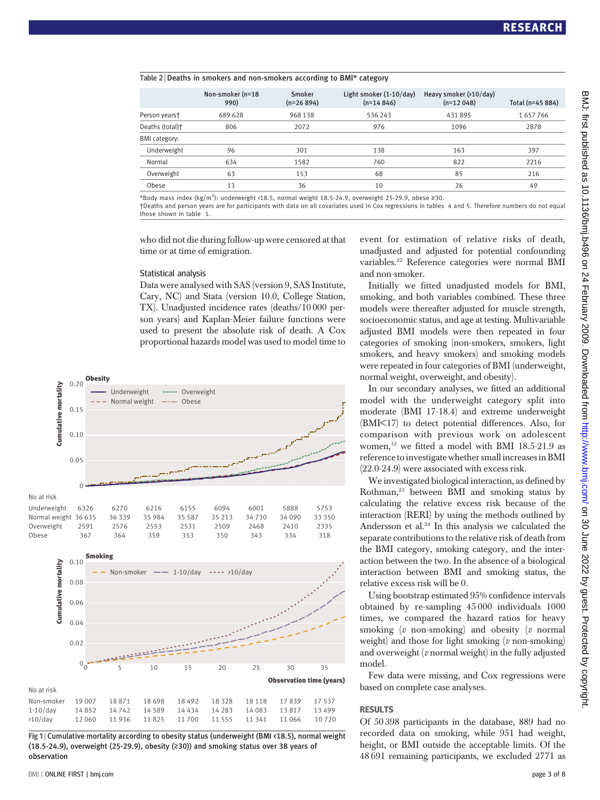#### Table 2 <sup>|</sup> Deaths in smokers and non-smokers according to BMI\* category

|                 | Non-smoker (n=18<br>990) | Smoker<br>$(n=26894)$ | Light smoker (1-10/day)<br>$(n=14846)$ | Heavy smoker $(210/day)$<br>$(n=12048)$ | Total (n=45 884) |
|-----------------|--------------------------|-----------------------|----------------------------------------|-----------------------------------------|------------------|
| Person yearst   | 689 628                  | 968 138               | 536 243                                | 431895                                  | 1657766          |
| Deaths (total)+ | 806                      | 2072                  | 976                                    | 1096                                    | 2878             |
| BMI category:   |                          |                       |                                        |                                         |                  |
| Underweight     | 96                       | 301                   | 138                                    | 163                                     | 397              |
| Normal          | 634                      | 1582                  | 760                                    | 822                                     | 2216             |
| Overweight      | 63                       | 153                   | 68                                     | 85                                      | 216              |
| Obese           | 13                       | 36                    | 10                                     | 26                                      | 49               |
|                 |                          |                       |                                        |                                         |                  |

\*Body mass index (kg/m<sup>2</sup> ): underweight <18.5, normal weight 18.5-24.9, overweight 25-29.9, obese ≥30.

†Deaths and person years are for participants with data on all covariates used in Cox regressions in tables 4 and 5. Therefore numbers do not equal those shown in table 1.

who did not die during follow-up were censored at that time or at time of emigration.

#### Statistical analysis

Data were analysed with SAS (version 9, SAS Institute, Cary, NC) and Stata (version 10.0, College Station, TX). Unadjusted incidence rates (deaths/10 000 person years) and Kaplan-Meier failure functions were used to present the absolute risk of death. A Cox proportional hazards model was used to model time to





Fig 1 <sup>|</sup> Cumulative mortality according to obesity status (underweight (BMI <18.5), normal weight (18.5-24.9), overweight (25-29.9), obesity ( $\geq$ 30)) and smoking status over 38 years of observation

event for estimation of relative risks of death, unadjusted and adjusted for potential confounding variables.22 Reference categories were normal BMI and non-smoker.

Initially we fitted unadjusted models for BMI, smoking, and both variables combined. These three models were thereafter adjusted for muscle strength, socioeconomic status, and age at testing. Multivariable adjusted BMI models were then repeated in four categories of smoking (non-smokers, smokers, light smokers, and heavy smokers) and smoking models were repeated in four categories of BMI (underweight, normal weight, overweight, and obesity).

In our secondary analyses, we fitted an additional model with the underweight category split into moderate (BMI 17-18.4) and extreme underweight (BMI<17) to detect potential differences. Also, for comparison with previous work on adolescent women,<sup>12</sup> we fitted a model with BMI 18.5-21.9 as reference to investigate whether small increases in BMI (22.0-24.9) were associated with excess risk.

We investigated biological interaction, as defined by Rothman,<sup>23</sup> between BMI and smoking status by calculating the relative excess risk because of the interaction (RERI) by using the methods outlined by Andersson et al.<sup>24</sup> In this analysis we calculated the separate contributions to the relative risk of death from the BMI category, smoking category, and the interaction between the two. In the absence of a biological interaction between BMI and smoking status, the relative excess risk will be 0.

Using bootstrap estimated 95% confidence intervals obtained by re-sampling 45 000 individuals 1000 times, we compared the hazard ratios for heavy smoking (v non-smoking) and obesity (v normal weight) and those for light smoking  $(v \text{ non-smoking})$ and overweight  $(v \text{ normal weight})$  in the fully adjusted model.

Few data were missing, and Cox regressions were based on complete case analyses.

Of 50 398 participants in the database, 889 had no recorded data on smoking, while 951 had weight, height, or BMI outside the acceptable limits. Of the 48 691 remaining participants, we excluded 2771 as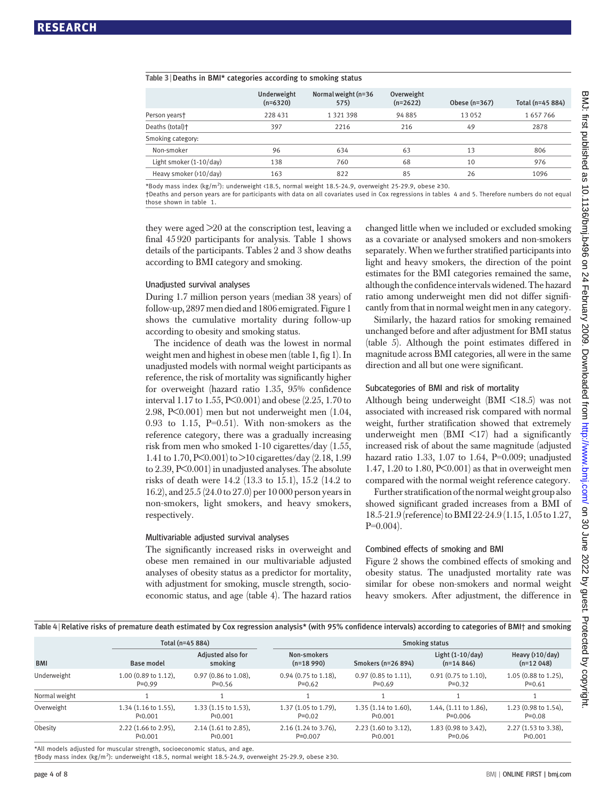#### Table 3 <sup>|</sup> Deaths in BMI\* categories according to smoking status

|                         | Underweight<br>$(n=6320)$ | Normal weight (n=36<br>575) | Overweight<br>$(n=2622)$ | Obese (n=367) | Total (n=45 884) |
|-------------------------|---------------------------|-----------------------------|--------------------------|---------------|------------------|
| Person years†           | 228 431                   | 1 3 2 1 3 9 8               | 94885                    | 13052         | 1657766          |
| Deaths (total)+         | 397                       | 2216                        | 216                      | 49            | 2878             |
| Smoking category:       |                           |                             |                          |               |                  |
| Non-smoker              | 96                        | 634                         | 63                       | 13            | 806              |
| Light smoker (1-10/day) | 138                       | 760                         | 68                       | 10            | 976              |
| Heavy smoker (>10/day)  | 163                       | 822                         | 85                       | 26            | 1096             |

\*Body mass index (kg/m<sup>2</sup> ): underweight <18.5, normal weight 18.5-24.9, overweight 25-29.9, obese ≥30.

†Deaths and person years are for participants with data on all covariates used in Cox regressions in tables 4 and 5. Therefore numbers do not equal those shown in table 1.

they were aged >20 at the conscription test, leaving a final 45 920 participants for analysis. Table 1 shows details of the participants. Tables 2 and 3 show deaths according to BMI category and smoking.

#### Unadjusted survival analyses

During 1.7 million person years (median 38 years) of follow-up, 2897men died and 1806 emigrated. Figure 1 shows the cumulative mortality during follow-up according to obesity and smoking status.

The incidence of death was the lowest in normal weight men and highest in obese men (table 1, fig 1). In unadjusted models with normal weight participants as reference, the risk of mortality was significantly higher for overweight (hazard ratio 1.35, 95% confidence interval 1.17 to 1.55, P<0.001) and obese (2.25, 1.70 to 2.98, P<0.001) men but not underweight men (1.04, 0.93 to 1.15,  $P=0.51$ ). With non-smokers as the reference category, there was a gradually increasing risk from men who smoked 1-10 cigarettes/day (1.55, 1.41 to 1.70, P<0.001) to >10 cigarettes/day (2.18, 1.99 to 2.39, P<0.001) in unadjusted analyses. The absolute risks of death were 14.2 (13.3 to 15.1), 15.2 (14.2 to 16.2), and 25.5 (24.0 to 27.0) per 10 000 person years in non-smokers, light smokers, and heavy smokers, respectively.

#### Multivariable adjusted survival analyses

The significantly increased risks in overweight and obese men remained in our multivariable adjusted analyses of obesity status as a predictor for mortality, with adjustment for smoking, muscle strength, socioeconomic status, and age (table 4). The hazard ratios changed little when we included or excluded smoking as a covariate or analysed smokers and non-smokers separately. When we further stratified participants into light and heavy smokers, the direction of the point estimates for the BMI categories remained the same, although the confidence intervals widened. The hazard ratio among underweight men did not differ significantly from that in normal weight men in any category.

Similarly, the hazard ratios for smoking remained unchanged before and after adjustment for BMI status (table 5). Although the point estimates differed in magnitude across BMI categories, all were in the same direction and all but one were significant.

#### Subcategories of BMI and risk of mortality

Although being underweight (BMI <18.5) was not associated with increased risk compared with normal weight, further stratification showed that extremely underweight men  $(BMI \leq 17)$  had a significantly increased risk of about the same magnitude (adjusted hazard ratio 1.33, 1.07 to 1.64, P=0.009; unadjusted 1.47, 1.20 to 1.80, P<0.001) as that in overweight men compared with the normal weight reference category.

Further stratification of the normal weight group also showed significant graded increases from a BMI of 18.5-21.9(reference)to BMI 22-24.9(1.15, 1.05to 1.27, P=0.004).

#### Combined effects of smoking and BMI

Figure 2 shows the combined effects of smoking and obesity status. The unadjusted mortality rate was similar for obese non-smokers and normal weight heavy smokers. After adjustment, the difference in

## Table 4 | Relative risks of premature death estimated by Cox regression analysis\* (with 95% confidence intervals) according to categories of BMI† and smoking

| Total (n=45 884)                             |                                            | <b>Smoking status</b>               |                                           |                                            |                                      |  |
|----------------------------------------------|--------------------------------------------|-------------------------------------|-------------------------------------------|--------------------------------------------|--------------------------------------|--|
| Base model                                   | Adjusted also for<br>smoking               | Non-smokers<br>$(n=18990)$          | Smokers (n=26 894)                        | Light $(1-10/day)$<br>$(n=14846)$          | Heavy $(210/day)$<br>$(n=12048)$     |  |
| $1.00$ (0.89 to 1.12),<br>$P=0.99$           | $0.97$ (0.86 to 1.08),<br>$P=0.56$         | $0.94$ (0.75 to 1.18),<br>$P=0.62$  | $0.97$ (0.85 to 1.11),<br>$P=0.69$        | $0.91$ (0.75 to 1.10),<br>$P=0.32$         | $1.05$ (0.88 to 1.25),<br>$P=0.61$   |  |
|                                              |                                            |                                     |                                           |                                            |                                      |  |
| $1.34$ (1.16 to 1.55),<br>P <sub>0.001</sub> | $1.33(1.15 \text{ to } 1.53)$ ,<br>P<0.001 | 1.37 (1.05 to 1.79),<br>$P=0.02$    | $1.35(1.14 \text{ to } 1.60),$<br>P<0.001 | $1.44$ , $(1.11$ to $1.86)$ ,<br>$P=0.006$ | $1.23$ (0.98 to 1.54),<br>$P = 0.08$ |  |
| $2.22$ (1.66 to 2.95),<br>P<0.001            | $2.14$ (1.61 to 2.85),<br>P<0.001          | $2.16$ (1.24 to 3.76),<br>$P=0.007$ | $2.23$ (1.60 to 3.12),<br>P<0.001         | $1.83$ (0.98 to 3.42),<br>$P=0.06$         | $2.27$ (1.53 to 3.38),<br>P<0.001    |  |
|                                              |                                            |                                     |                                           |                                            |                                      |  |

All models adjusted for muscular strength, socioeconomic status, and age.

†Body mass index (kg/m<sup>2</sup> ): underweight <18.5, normal weight 18.5-24.9, overweight 25-29.9, obese ≥30.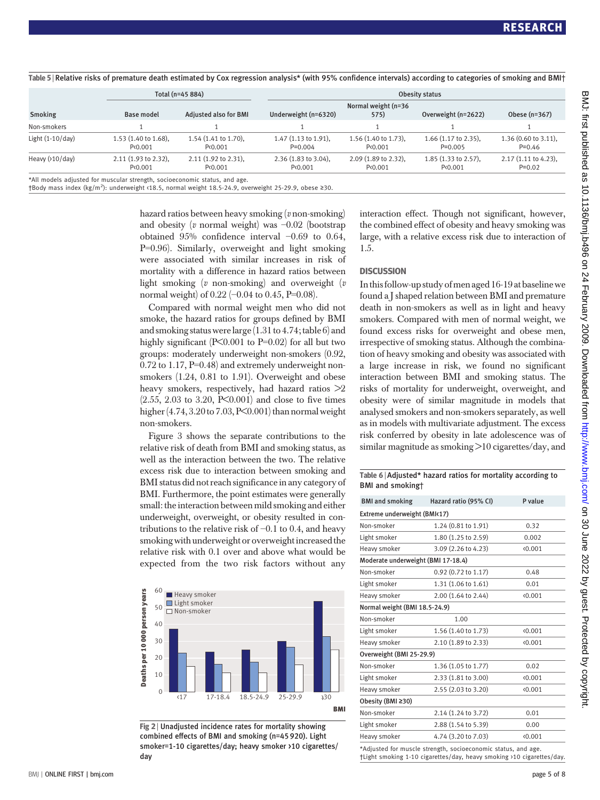|                    |                                                                          | . .                               |                                     |                                   |                                           |                                    |  |  |
|--------------------|--------------------------------------------------------------------------|-----------------------------------|-------------------------------------|-----------------------------------|-------------------------------------------|------------------------------------|--|--|
|                    |                                                                          | Total (n=45 884)                  |                                     | Obesity status                    |                                           |                                    |  |  |
| Smoking            | <b>Base model</b>                                                        | <b>Adjusted also for BMI</b>      | Underweight (n=6320)                | Normal weight (n=36<br>575)       | Overweight (n=2622)                       | Obese (n=367)                      |  |  |
| Non-smokers        |                                                                          |                                   |                                     |                                   |                                           |                                    |  |  |
| Light $(1-10/day)$ | 1.53 (1.40 to 1.68),<br>P<0.001                                          | $1.54$ (1.41 to 1.70),<br>P<0.001 | $1.47$ (1.13 to 1.91),<br>$P=0.004$ | $1.56$ (1.40 to 1.73),<br>P<0.001 | $1.66$ (1.17 to 2.35),<br>$P=0.005$       | $1.36$ (0.60 to 3.11),<br>$P=0.46$ |  |  |
| Heavy $(210/day)$  | $2.11$ (1.93 to 2.32),<br>P<0.001                                        | $2.11$ (1.92 to 2.31),<br>P<0.001 | 2.36 (1.83 to 3.04),<br>P<0.001     | 2.09 (1.89 to 2.32),<br>P<0.001   | $1.85(1.33 \text{ to } 2.57),$<br>P<0.001 | $2.17$ (1.11 to 4.23),<br>$P=0.02$ |  |  |
|                    | *All models adjusted for muscular strength socioeconomic status, and ago |                                   |                                     |                                   |                                           |                                    |  |  |

Table 5 | Relative risks of premature death estimated by Cox regression analysis\* (with 95% confidence intervals) according to categories of smoking and BMI†

\*All models adjusted for muscular strength, socioeconomic status, and age.

†Body mass index (kg/m<sup>2</sup> ): underweight <18.5, normal weight 18.5-24.9, overweight 25-29.9, obese ≥30.

hazard ratios between heavy smoking (v non-smoking) and obesity (v normal weight) was −0.02 (bootstrap obtained 95% confidence interval −0.69 to 0.64, P=0.96). Similarly, overweight and light smoking were associated with similar increases in risk of mortality with a difference in hazard ratios between light smoking  $(v \text{ non-smoking})$  and overweight  $(v \text{)}$ normal weight) of 0.22 (−0.04 to 0.45, P=0.08).

Compared with normal weight men who did not smoke, the hazard ratios for groups defined by BMI and smoking status were large  $(1.31 \text{ to } 4.74; \text{table } 6)$  and highly significant (P<0.001 to P=0.02) for all but two groups: moderately underweight non-smokers (0.92, 0.72 to 1.17, P=0.48) and extremely underweight nonsmokers (1.24, 0.81 to 1.91). Overweight and obese heavy smokers, respectively, had hazard ratios  $\geq 2$  $(2.55, 2.03 \text{ to } 3.20, P \le 0.001)$  and close to five times higher  $(4.74, 3.20 \text{ to } 7.03, P \le 0.001)$  than normal weight non-smokers.

Figure 3 shows the separate contributions to the relative risk of death from BMI and smoking status, as well as the interaction between the two. The relative excess risk due to interaction between smoking and BMI status did not reach significance in any category of BMI. Furthermore, the point estimates were generally small: the interaction between mild smoking and either underweight, overweight, or obesity resulted in contributions to the relative risk of −0.1 to 0.4, and heavy smoking with underweight or overweight increased the relative risk with 0.1 over and above what would be expected from the two risk factors without any



Fig 2 | Unadjusted incidence rates for mortality showing combined effects of BMI and smoking (n=45 920). Light smoker=1-10 cigarettes/day; heavy smoker >10 cigarettes/ day

interaction effect. Though not significant, however, the combined effect of obesity and heavy smoking was large, with a relative excess risk due to interaction of 1.5.

#### **DISCUSSION**

In this follow-up study of men aged 16-19 at baseline we found a J shaped relation between BMI and premature death in non-smokers as well as in light and heavy smokers. Compared with men of normal weight, we found excess risks for overweight and obese men, irrespective of smoking status. Although the combination of heavy smoking and obesity was associated with a large increase in risk, we found no significant interaction between BMI and smoking status. The risks of mortality for underweight, overweight, and obesity were of similar magnitude in models that analysed smokers and non-smokers separately, as well as in models with multivariate adjustment. The excess risk conferred by obesity in late adolescence was of similar magnitude as smoking >10 cigarettes/day, and

Table 6 <sup>|</sup> Adjusted\* hazard ratios for mortality according to BMI and smoking†

| <b>BMI and smoking</b>             | Hazard ratio (95% CI) | P value |  |  |  |  |
|------------------------------------|-----------------------|---------|--|--|--|--|
| Extreme underweight (BMK17)        |                       |         |  |  |  |  |
| Non-smoker                         | 1.24 (0.81 to 1.91)   | 0.32    |  |  |  |  |
| Light smoker                       | 1.80 (1.25 to 2.59)   | 0.002   |  |  |  |  |
| Heavy smoker                       | 3.09 (2.26 to 4.23)   | (0.001) |  |  |  |  |
| Moderate underweight (BMI 17-18.4) |                       |         |  |  |  |  |
| Non-smoker                         | $0.92$ (0.72 to 1.17) | 0.48    |  |  |  |  |
| Light smoker                       | 1.31 (1.06 to 1.61)   | 0.01    |  |  |  |  |
| Heavy smoker                       | 2.00 (1.64 to 2.44)   | (0.001) |  |  |  |  |
| Normal weight (BMI 18.5-24.9)      |                       |         |  |  |  |  |
| Non-smoker                         | 1.00                  |         |  |  |  |  |
| Light smoker                       | 1.56 (1.40 to 1.73)   | (0.001) |  |  |  |  |
| Heavy smoker                       | 2.10 (1.89 to 2.33)   | (0.001) |  |  |  |  |
| Overweight (BMI 25-29.9)           |                       |         |  |  |  |  |
| Non-smoker                         | 1.36 (1.05 to 1.77)   | 0.02    |  |  |  |  |
| Light smoker                       | 2.33 (1.81 to 3.00)   | (0.001) |  |  |  |  |
| Heavy smoker                       | 2.55 (2.03 to 3.20)   | (0.001) |  |  |  |  |
| Obesity (BMI ≥30)                  |                       |         |  |  |  |  |
| Non-smoker                         | 2.14 (1.24 to 3.72)   | 0.01    |  |  |  |  |
| Light smoker                       | 2.88 (1.54 to 5.39)   | 0.00    |  |  |  |  |
| Heavy smoker                       | 4.74 (3.20 to 7.03)   | (0.001) |  |  |  |  |
|                                    |                       |         |  |  |  |  |

\*Adjusted for muscle strength, socioeconomic status, and age. †Light smoking 1-10 cigarettes/day, heavy smoking >10 cigarettes/day.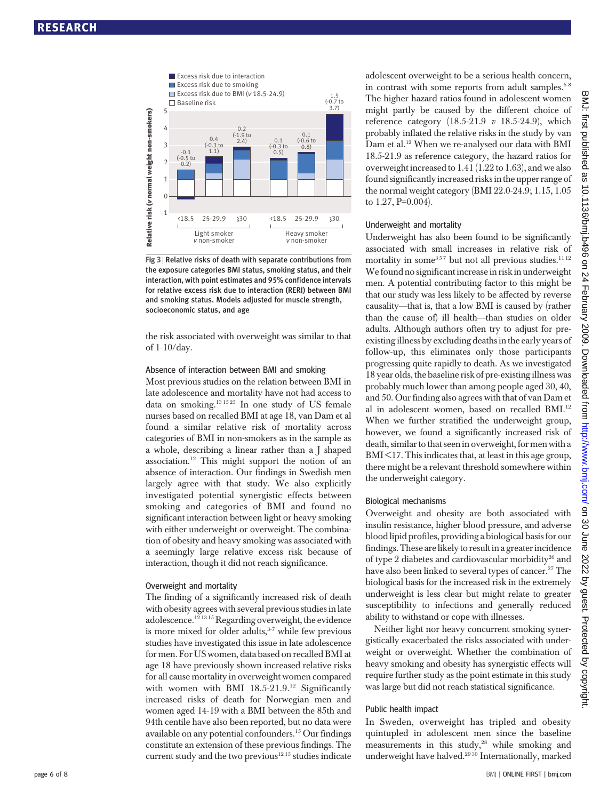

Fig 3 <sup>|</sup> Relative risks of death with separate contributions from the exposure categories BMI status, smoking status, and their interaction, with point estimates and 95% confidence intervals for relative excess risk due to interaction (RERI) between BMI and smoking status. Models adjusted for muscle strength, socioeconomic status, and age

the risk associated with overweight was similar to that of 1-10/day.

#### Absence of interaction between BMI and smoking

Most previous studies on the relation between BMI in late adolescence and mortality have not had access to data on smoking. $131525$  In one study of US female nurses based on recalled BMI at age 18, van Dam et al found a similar relative risk of mortality across categories of BMI in non-smokers as in the sample as a whole, describing a linear rather than a J shaped association.12 This might support the notion of an absence of interaction. Our findings in Swedish men largely agree with that study. We also explicitly investigated potential synergistic effects between smoking and categories of BMI and found no significant interaction between light or heavy smoking with either underweight or overweight. The combination of obesity and heavy smoking was associated with a seemingly large relative excess risk because of interaction, though it did not reach significance.

#### Overweight and mortality

The finding of a significantly increased risk of death with obesity agrees with several previous studies in late adolescence.12 13 15 Regarding overweight, the evidence is more mixed for older adults, $3-7$  while few previous studies have investigated this issue in late adolescence for men. For US women, data based on recalled BMI at age 18 have previously shown increased relative risks for all cause mortality in overweight women compared with women with BMI 18.5-21.9.<sup>12</sup> Significantly increased risks of death for Norwegian men and women aged 14-19 with a BMI between the 85th and 94th centile have also been reported, but no data were available on any potential confounders.15 Our findings constitute an extension of these previous findings. The current study and the two previous<sup>1215</sup> studies indicate adolescent overweight to be a serious health concern, in contrast with some reports from adult samples. $6-8$ The higher hazard ratios found in adolescent women might partly be caused by the different choice of reference category  $(18.5-21.9 \text{ v } 18.5-24.9)$ , which probably inflated the relative risks in the study by van Dam et al.<sup>12</sup> When we re-analysed our data with BMI 18.5-21.9 as reference category, the hazard ratios for overweight increased to 1.41 (1.22 to 1.63), and we also found significantly increased risks in the upper range of the normal weight category (BMI 22.0-24.9; 1.15, 1.05 to 1.27, P=0.004).

#### Underweight and mortality

Underweight has also been found to be significantly associated with small increases in relative risk of mortality in some<sup>357</sup> but not all previous studies.<sup>11 12</sup> We found no significant increase in risk in underweight men. A potential contributing factor to this might be that our study was less likely to be affected by reverse causality—that is, that a low BMI is caused by (rather than the cause of) ill health—than studies on older adults. Although authors often try to adjust for preexisting illness by excluding deaths in the early years of follow-up, this eliminates only those participants progressing quite rapidly to death. As we investigated 18 year olds, the baseline risk of pre-existing illness was probably much lower than among people aged 30, 40, and 50. Our finding also agrees with that of van Dam et al in adolescent women, based on recalled BMI.12 When we further stratified the underweight group, however, we found a significantly increased risk of death, similar to that seen in overweight, for men with a  $BMI < 17$ . This indicates that, at least in this age group, there might be a relevant threshold somewhere within the underweight category.

#### Biological mechanisms

Overweight and obesity are both associated with insulin resistance, higher blood pressure, and adverse blood lipid profiles, providing a biological basis for our findings. These are likely to result in a greater incidence of type 2 diabetes and cardiovascular morbidity<sup>26</sup> and have also been linked to several types of cancer.<sup>27</sup> The biological basis for the increased risk in the extremely underweight is less clear but might relate to greater susceptibility to infections and generally reduced ability to withstand or cope with illnesses.

Neither light nor heavy concurrent smoking synergistically exacerbated the risks associated with underweight or overweight. Whether the combination of heavy smoking and obesity has synergistic effects will require further study as the point estimate in this study was large but did not reach statistical significance.

#### Public health impact

In Sweden, overweight has tripled and obesity quintupled in adolescent men since the baseline measurements in this study,<sup>28</sup> while smoking and underweight have halved.<sup>2930</sup> Internationally, marked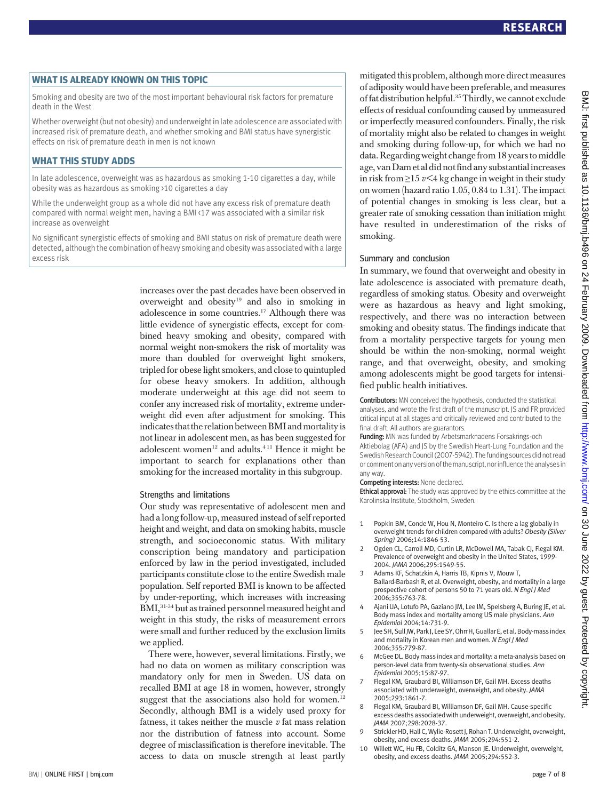WHAT IS ALREADY KNOWN ON THIS TOPIC Smoking and obesity are two of the most important behavioural risk factors for premature death in the West

Whether overweight (but not obesity) and underweight in late adolescence are associatedwith increased risk of premature death, and whether smoking and BMI status have synergistic effects on risk of premature death in men is not known

## **WHAT THIS STUDY ADDS**

—<br>In late adolescence, overweight was as hazardous as smoking 1-10 cigarettes a day, while obesity was as hazardous as smoking >10 cigarettes a day

While the underweight group as a whole did not have any excess risk of premature death compared with normal weight men, having a BMI <17 was associated with a similar risk increase as overweight

No significant synergistic effects of smoking and BMI status on risk of premature death were detected, although the combination of heavy smoking and obesity was associated with a large excess risk

> increases over the past decades have been observed in overweight and obesity<sup>19</sup> and also in smoking in adolescence in some countries.17 Although there was little evidence of synergistic effects, except for combined heavy smoking and obesity, compared with normal weight non-smokers the risk of mortality was more than doubled for overweight light smokers, tripled for obese light smokers, and close to quintupled for obese heavy smokers. In addition, although moderate underweight at this age did not seem to confer any increased risk of mortality, extreme underweight did even after adjustment for smoking. This indicates that the relation between BMI and mortality is not linear in adolescent men, as has been suggested for adolescent women<sup>12</sup> and adults.<sup>411</sup> Hence it might be important to search for explanations other than smoking for the increased mortality in this subgroup.

### Strengths and limitations

Our study was representative of adolescent men and had a long follow-up, measured instead of self reported height and weight, and data on smoking habits, muscle strength, and socioeconomic status. With military conscription being mandatory and participation enforced by law in the period investigated, included participants constitute close to the entire Swedish male population. Self reported BMI is known to be affected by under-reporting, which increases with increasing BMI,31-34 but as trained personnel measured height and weight in this study, the risks of measurement errors were small and further reduced by the exclusion limits we applied.

There were, however, several limitations. Firstly, we had no data on women as military conscription was mandatory only for men in Sweden. US data on recalled BMI at age 18 in women, however, strongly suggest that the associations also hold for women.<sup>12</sup> Secondly, although BMI is a widely used proxy for fatness, it takes neither the muscle  $v$  fat mass relation nor the distribution of fatness into account. Some degree of misclassification is therefore inevitable. The access to data on muscle strength at least partly mitigated this problem, although more direct measures of adiposity would have been preferable, and measures of fat distribution helpful.35Thirdly, we cannot exclude effects of residual confounding caused by unmeasured or imperfectly measured confounders. Finally, the risk of mortality might also be related to changes in weight and smoking during follow-up, for which we had no data. Regarding weight changefrom 18 years to middle age, van Dam et al did not find any substantial increases in risk from  $\geq$ 15  $v$  <4 kg change in weight in their study on women (hazard ratio 1.05, 0.84 to 1.31). The impact of potential changes in smoking is less clear, but a greater rate of smoking cessation than initiation might have resulted in underestimation of the risks of smoking.

#### Summary and conclusion

In summary, we found that overweight and obesity in late adolescence is associated with premature death, regardless of smoking status. Obesity and overweight were as hazardous as heavy and light smoking, respectively, and there was no interaction between smoking and obesity status. The findings indicate that from a mortality perspective targets for young men should be within the non-smoking, normal weight range, and that overweight, obesity, and smoking among adolescents might be good targets for intensified public health initiatives.

Contributors: MN conceived the hypothesis, conducted the statistical analyses, and wrote the first draft of the manuscript. JS and FR provided critical input at all stages and critically reviewed and contributed to the final draft. All authors are guarantors.

Funding: MN was funded by Arbetsmarknadens Forsakrings-och Aktiebolag (AFA) and JS by the Swedish Heart-Lung Foundation and the Swedish Research Council (2007-5942). The funding sources did not read or comment on any version of the manuscript, nor influence the analyses in any way.

#### Competing interests: None declared.

**Ethical approval:** The study was approved by the ethics committee at the Karolinska Institute, Stockholm, Sweden.

- 1 Popkin BM, Conde W, Hou N, Monteiro C. Is there a lag globally in overweight trends for children compared with adults? Obesity (Silver Spring) 2006;14:1846-53.
- 2 Ogden CL, Carroll MD, Curtin LR, McDowell MA, Tabak CJ, Flegal KM. Prevalence of overweight and obesity in the United States, 1999- 2004. JAMA 2006;295:1549-55.
- 3 Adams KF, Schatzkin A, Harris TB, Kipnis V, Mouw T, Ballard-Barbash R, et al. Overweight, obesity, and mortality in a large prospective cohort of persons 50 to 71 years old. N Engl J Med 2006;355:763-78.
- Ajani UA, Lotufo PA, Gaziano JM, Lee IM, Spelsberg A, Buring JE, et al. Body mass index and mortality among US male physicians. Ann Epidemiol 2004;14:731-9.
- Jee SH, Sull JW, Park J, Lee SY, Ohrr H, Guallar E, et al. Body-mass index and mortality in Korean men and women. N Engl J Med 2006;355:779-87.
- 6 McGee DL. Body mass index and mortality: a meta-analysis based on person-level data from twenty-six observational studies. Ann Epidemiol 2005;15:87-97.
- 7 Flegal KM, Graubard BI, Williamson DF, Gail MH. Excess deaths associated with underweight, overweight, and obesity. JAMA 2005;293:1861-7.
- 8 Flegal KM, Graubard BI, Williamson DF, Gail MH. Cause-specific excess deaths associatedwith underweight, overweight, and obesity. JAMA 2007;298:2028-37.
- 9 Strickler HD, Hall C, Wylie-Rosett J, Rohan T. Underweight, overweight, obesity, and excess deaths. JAMA 2005;294:551-2.
- 10 Willett WC, Hu FB, Colditz GA, Manson JE. Underweight, overweight, obesity, and excess deaths. JAMA 2005;294:552-3.